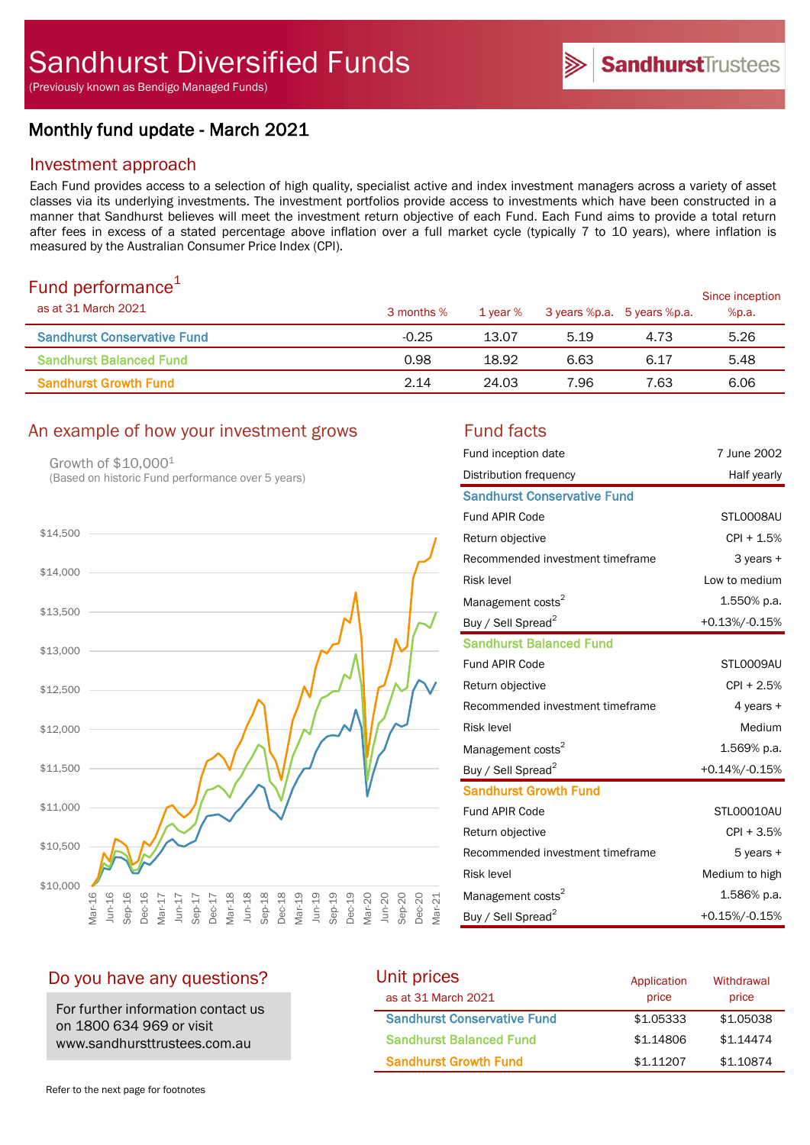(Previously known as Bendigo Managed Funds)

# Monthly fund update - March 2021

# Investment approach

Each Fund provides access to a selection of high quality, specialist active and index investment managers across a variety of asset classes via its underlying investments. The investment portfolios provide access to investments which have been constructed in a manner that Sandhurst believes will meet the investment return objective of each Fund. Each Fund aims to provide a total return after fees in excess of a stated percentage above inflation over a full market cycle (typically 7 to 10 years), where inflation is measured by the Australian Consumer Price Index (CPI).

# Fund performance $1$

| $\sim$ 0.10 $\sim$ 0.11 $\sim$ 0.11 $\sim$ 0.11 $\sim$ 0.11<br>as at 31 March 2021 | 3 months % | 1 year % | 3 years %p.a. 5 years %p.a. |      | Since inception<br>%p.a. |
|------------------------------------------------------------------------------------|------------|----------|-----------------------------|------|--------------------------|
| <b>Sandhurst Conservative Fund</b>                                                 | $-0.25$    | 13.07    | 5.19                        | 4.73 | 5.26                     |
| <b>Sandhurst Balanced Fund</b>                                                     | 0.98       | 18.92    | 6.63                        | 6.17 | 5.48                     |
| <b>Sandhurst Growth Fund</b>                                                       | 2.14       | 24.03    | 7.96                        | 7.63 | 6.06                     |

# An example of how your investment grows Fund facts

Growth of \$10,0001 (Based on historic Fund performance over 5 years)



| Fund inception date                | 7 June 2002    |
|------------------------------------|----------------|
| Distribution frequency             | Half yearly    |
| <b>Sandhurst Conservative Fund</b> |                |
| Fund APIR Code                     | STL0008AU      |
| Return objective                   | $CPI + 1.5%$   |
| Recommended investment timeframe   | 3 years +      |
| <b>Risk level</b>                  | Low to medium  |
| Management costs <sup>2</sup>      | 1.550% p.a.    |
| Buy / Sell Spread <sup>2</sup>     | +0.13%/-0.15%  |
| <b>Sandhurst Balanced Fund</b>     |                |
| Fund APIR Code                     | STL0009AU      |
| Return objective                   | $CPI + 2.5%$   |
| Recommended investment timeframe   | 4 years +      |
| <b>Risk level</b>                  | Medium         |
| Management costs <sup>2</sup>      | 1.569% p.a.    |
| Buy / Sell Spread <sup>2</sup>     | +0.14%/-0.15%  |
| <b>Sandhurst Growth Fund</b>       |                |
| <b>Fund APIR Code</b>              | STL00010AU     |
| Return objective                   | $CPI + 3.5%$   |
| Recommended investment timeframe   | $5$ years $+$  |
| <b>Risk level</b>                  | Medium to high |
| Management costs <sup>2</sup>      | 1.586% p.a.    |
| Buy / Sell Spread <sup>2</sup>     | +0.15%/-0.15%  |

# Do you have any questions?

For further information contact us on 1800 634 969 or visit www.sandhursttrustees.com.au

| Unit prices                        | Application | Withdrawal |  |
|------------------------------------|-------------|------------|--|
| as at 31 March 2021                | price       | price      |  |
| <b>Sandhurst Conservative Fund</b> | \$1,05333   | \$1,05038  |  |
| <b>Sandhurst Balanced Fund</b>     | \$1,14806   | \$1.14474  |  |
| <b>Sandhurst Growth Fund</b>       | \$1,11207   | \$1,10874  |  |